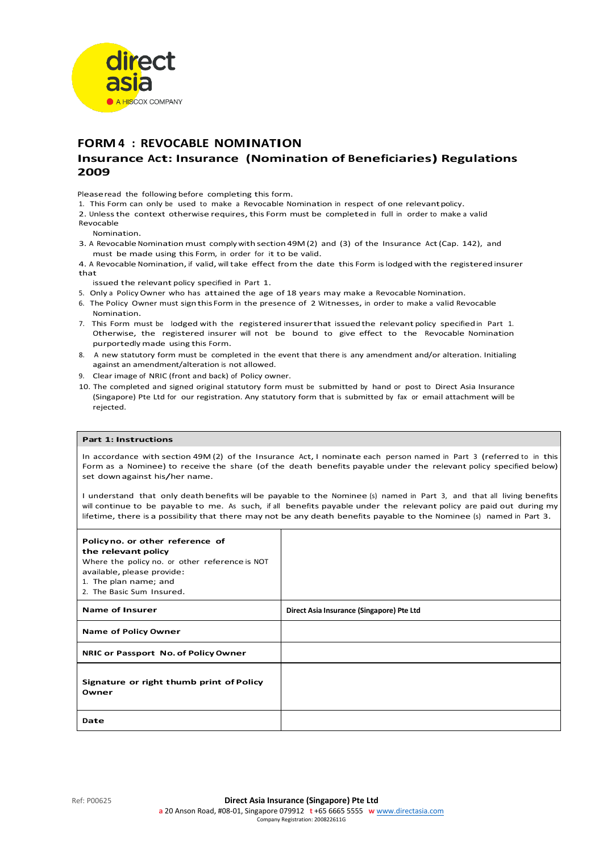

## **FORM 4 : REVOCABLE NOMINATION**

## **Insurance Act: Insurance (Nomination of Beneficiaries) Regulations 2009**

Pleaseread the following before completing this form.

1. This Form can only be used to make a Revocable Nomination in respect of one relevantpolicy.

2. Unless the context otherwise requires, this Form must be completed in full in order to make a valid Revocable

Nomination.

3. A Revocable Nomination must comply with section 49M (2) and (3) of the Insurance Act (Cap. 142), and must be made using this Form, in order for it to be valid.

4. <sup>A</sup> Revocable Nomination, if valid, will take effect from the date this Form islodged with the registered insurer that

issued the relevant policy specified in Part 1.

5. Only a PolicyOwner who has attained the age of 18 years may make a Revocable Nomination.

- 6. The Policy Owner must signthisForm in the presence of 2 Witnesses, in order to make <sup>a</sup> valid Revocable Nomination.
- This Form must be lodged with the registered insurerthat issued the relevant policy specified in Part 1. Otherwise, the registered insurer will not be bound to give effect to the Revocable Nomination purportedly made using this Form.
- 8. A new statutory form must be completed in the event that there is any amendment and/or alteration. Initialing against an amendment/alteration is not allowed.
- 9. Clear image of NRIC (front and back) of Policy owner.
- 10. The completed and signed original statutory form must be submitted by hand or post to Direct Asia Insurance (Singapore) Pte Ltd for our registration. Any statutory form that is submitted by fax or email attachment will be rejected.

## **Part 1: Instructions**

In accordance with section 49M (2) of the Insurance Act, I nominate each person named in Part 3 (referred to in this Form as a Nominee) to receive the share (of the death benefits payable under the relevant policy specified below) set down against his/her name.

I understand that only death benefits will be payable to the Nominee (s) named in Part 3, and that all living benefits will continue to be payable to me. As such, if all benefits payable under the relevant policy are paid out during my lifetime, there is a possibility that there may not be any death benefits payable to the Nominee (s) named in Part 3.

| Policyno. or other reference of<br>the relevant policy<br>Where the policy no. or other reference is NOT<br>available, please provide:<br>1. The plan name; and<br>2. The Basic Sum Insured. |                                           |
|----------------------------------------------------------------------------------------------------------------------------------------------------------------------------------------------|-------------------------------------------|
| <b>Name of Insurer</b>                                                                                                                                                                       | Direct Asia Insurance (Singapore) Pte Ltd |
| <b>Name of Policy Owner</b>                                                                                                                                                                  |                                           |
| NRIC or Passport No. of Policy Owner                                                                                                                                                         |                                           |
| Signature or right thumb print of Policy<br>Owner                                                                                                                                            |                                           |
| Date                                                                                                                                                                                         |                                           |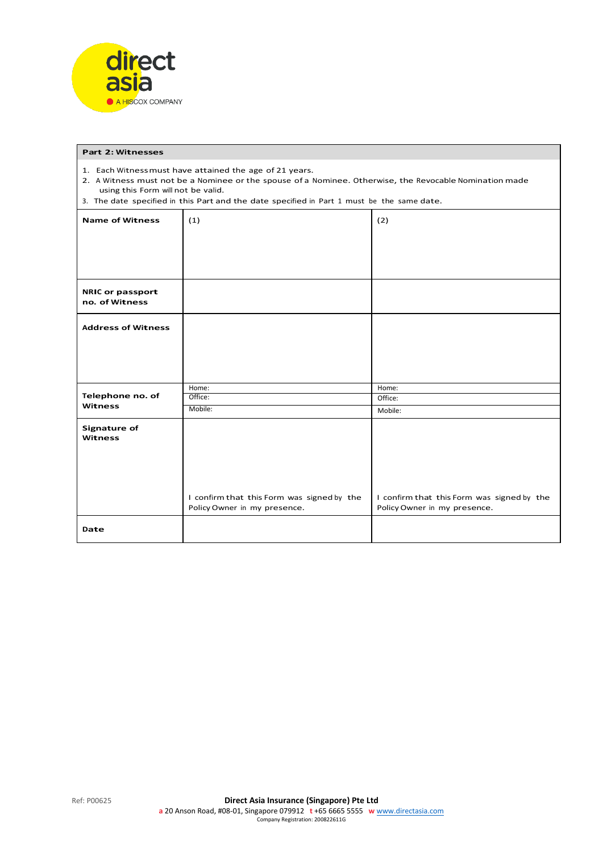

| <b>Part 2: Witnesses</b>                                                                                                                                                                                                                                                                              |                                                                            |                                                                            |  |
|-------------------------------------------------------------------------------------------------------------------------------------------------------------------------------------------------------------------------------------------------------------------------------------------------------|----------------------------------------------------------------------------|----------------------------------------------------------------------------|--|
| 1. Each Witnessmust have attained the age of 21 years.<br>2. A Witness must not be a Nominee or the spouse of a Nominee. Otherwise, the Revocable Nomination made<br>using this Form will not be valid.<br>3. The date specified in this Part and the date specified in Part 1 must be the same date. |                                                                            |                                                                            |  |
| <b>Name of Witness</b>                                                                                                                                                                                                                                                                                | (1)                                                                        | (2)                                                                        |  |
|                                                                                                                                                                                                                                                                                                       |                                                                            |                                                                            |  |
|                                                                                                                                                                                                                                                                                                       |                                                                            |                                                                            |  |
|                                                                                                                                                                                                                                                                                                       |                                                                            |                                                                            |  |
|                                                                                                                                                                                                                                                                                                       |                                                                            |                                                                            |  |
| <b>NRIC or passport</b><br>no. of Witness                                                                                                                                                                                                                                                             |                                                                            |                                                                            |  |
| <b>Address of Witness</b>                                                                                                                                                                                                                                                                             |                                                                            |                                                                            |  |
|                                                                                                                                                                                                                                                                                                       |                                                                            |                                                                            |  |
|                                                                                                                                                                                                                                                                                                       |                                                                            |                                                                            |  |
|                                                                                                                                                                                                                                                                                                       |                                                                            |                                                                            |  |
| Telephone no. of                                                                                                                                                                                                                                                                                      | Home:                                                                      | Home:                                                                      |  |
| <b>Witness</b>                                                                                                                                                                                                                                                                                        | Office:<br>Mobile:                                                         | Office:                                                                    |  |
|                                                                                                                                                                                                                                                                                                       |                                                                            | Mobile:                                                                    |  |
| Signature of<br><b>Witness</b>                                                                                                                                                                                                                                                                        |                                                                            |                                                                            |  |
|                                                                                                                                                                                                                                                                                                       |                                                                            |                                                                            |  |
|                                                                                                                                                                                                                                                                                                       |                                                                            |                                                                            |  |
|                                                                                                                                                                                                                                                                                                       |                                                                            |                                                                            |  |
|                                                                                                                                                                                                                                                                                                       | I confirm that this Form was signed by the<br>Policy Owner in my presence. | I confirm that this Form was signed by the<br>Policy Owner in my presence. |  |
| Date                                                                                                                                                                                                                                                                                                  |                                                                            |                                                                            |  |